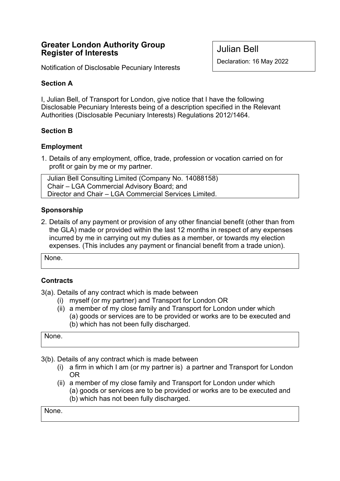# **Greater London Authority Group Register of Interests**

Julian Bell

Declaration: 16 May 2022

Notification of Disclosable Pecuniary Interests

# **Section A**

I, Julian Bell, of Transport for London, give notice that I have the following Disclosable Pecuniary Interests being of a description specified in the Relevant Authorities (Disclosable Pecuniary Interests) Regulations 2012/1464.

## **Section B**

### **Employment**

1. Details of any employment, office, trade, profession or vocation carried on for profit or gain by me or my partner.

Julian Bell Consulting Limited (Company No. 14088158) Chair – LGA Commercial Advisory Board; and Director and Chair – LGA Commercial Services Limited.

## **Sponsorship**

2. Details of any payment or provision of any other financial benefit (other than from the GLA) made or provided within the last 12 months in respect of any expenses incurred by me in carrying out my duties as a member, or towards my election expenses. (This includes any payment or financial benefit from a trade union).

None.

#### **Contracts**

3(a). Details of any contract which is made between

- (i) myself (or my partner) and Transport for London OR
- (ii) a member of my close family and Transport for London under which (a) goods or services are to be provided or works are to be executed and (b) which has not been fully discharged.

None.

3(b). Details of any contract which is made between

- (i) a firm in which I am (or my partner is) a partner and Transport for London OR
- (ii) a member of my close family and Transport for London under which (a) goods or services are to be provided or works are to be executed and
	- (b) which has not been fully discharged.

None.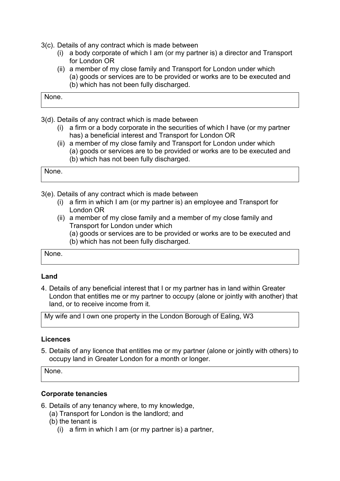3(c). Details of any contract which is made between

- (i) a body corporate of which I am (or my partner is) a director and Transport for London OR
- (ii) a member of my close family and Transport for London under which (a) goods or services are to be provided or works are to be executed and (b) which has not been fully discharged.

| None.                                     |   |                                            |  |  |
|-------------------------------------------|---|--------------------------------------------|--|--|
| $\sim$ $\sim$ $\sim$ $\sim$ $\sim$ $\sim$ | . | <b>Contract Contract Contract Contract</b> |  |  |

- 3(d). Details of any contract which is made between
	- (i) a firm or a body corporate in the securities of which I have (or my partner has) a beneficial interest and Transport for London OR
	- (ii) a member of my close family and Transport for London under which (a) goods or services are to be provided or works are to be executed and (b) which has not been fully discharged.

None.

3(e). Details of any contract which is made between

- (i) a firm in which I am (or my partner is) an employee and Transport for London OR
- (ii) a member of my close family and a member of my close family and Transport for London under which
	- (a) goods or services are to be provided or works are to be executed and (b) which has not been fully discharged.

None.

#### **Land**

4. Details of any beneficial interest that I or my partner has in land within Greater London that entitles me or my partner to occupy (alone or jointly with another) that land, or to receive income from it.

My wife and I own one property in the London Borough of Ealing, W3

#### **Licences**

5. Details of any licence that entitles me or my partner (alone or jointly with others) to occupy land in Greater London for a month or longer.

None.

#### **Corporate tenancies**

- 6. Details of any tenancy where, to my knowledge,
	- (a) Transport for London is the landlord; and
	- (b) the tenant is
		- (i) a firm in which I am (or my partner is) a partner,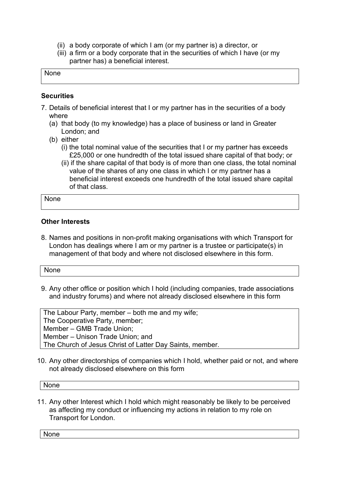- (ii) a body corporate of which I am (or my partner is) a director, or
- (iii) a firm or a body corporate that in the securities of which I have (or my partner has) a beneficial interest.

None

### **Securities**

- 7. Details of beneficial interest that I or my partner has in the securities of a body where
	- (a) that body (to my knowledge) has a place of business or land in Greater London; and
	- (b) either
		- (i) the total nominal value of the securities that I or my partner has exceeds £25,000 or one hundredth of the total issued share capital of that body; or
		- (ii) if the share capital of that body is of more than one class, the total nominal value of the shares of any one class in which I or my partner has a beneficial interest exceeds one hundredth of the total issued share capital of that class.

| ъ.<br>ורו<br>יי<br>. |  |  |  |
|----------------------|--|--|--|
|                      |  |  |  |

#### **Other Interests**

8. Names and positions in non-profit making organisations with which Transport for London has dealings where I am or my partner is a trustee or participate(s) in management of that body and where not disclosed elsewhere in this form.

| None |
|------|
|      |

9. Any other office or position which I hold (including companies, trade associations and industry forums) and where not already disclosed elsewhere in this form

The Labour Party, member – both me and my wife; The Cooperative Party, member; Member – GMB Trade Union; Member – Unison Trade Union; and The Church of Jesus Christ of Latter Day Saints, member.

10. Any other directorships of companies which I hold, whether paid or not, and where not already disclosed elsewhere on this form

None

11. Any other Interest which I hold which might reasonably be likely to be perceived as affecting my conduct or influencing my actions in relation to my role on Transport for London.

None